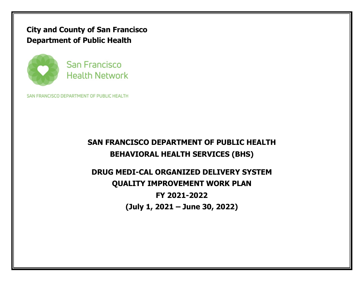**City and County of San Francisco Department of Public Health**



San Francisco **Health Network** 

SAN FRANCISCO DEPARTMENT OF PUBLIC HEALTH

# **SAN FRANCISCO DEPARTMENT OF PUBLIC HEALTH BEHAVIORAL HEALTH SERVICES (BHS)**

# **DRUG MEDI-CAL ORGANIZED DELIVERY SYSTEM QUALITY IMPROVEMENT WORK PLAN FY 2021-2022 (July 1, 2021 – June 30, 2022)**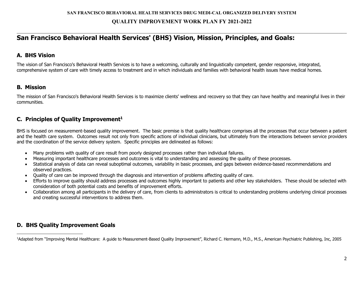$\_$  , and the set of the set of the set of the set of the set of the set of the set of the set of the set of the set of the set of the set of the set of the set of the set of the set of the set of the set of the set of th

## **San Francisco Behavioral Health Services' (BHS) Vision, Mission, Principles, and Goals:**

#### **A. BHS Vision**

The vision of San Francisco's Behavioral Health Services is to have a welcoming, culturally and linguistically competent, gender responsive, integrated, comprehensive system of care with timely access to treatment and in which individuals and families with behavioral health issues have medical homes.

#### **B. Mission**

1

The mission of San Francisco's Behavioral Health Services is to maximize clients' wellness and recovery so that they can have healthy and meaningful lives in their communities.

#### **C. Principles of Quality Improvement1**

BHS is focused on measurement-based quality improvement. The basic premise is that quality healthcare comprises all the processes that occur between a patient and the health care system. Outcomes result not only from specific actions of individual clinicians, but ultimately from the interactions between service providers and the coordination of the service delivery system. Specific principles are delineated as follows:

- Many problems with quality of care result from poorly designed processes rather than individual failures.
- Measuring important healthcare processes and outcomes is vital to understanding and assessing the quality of these processes.
- Statistical analysis of data can reveal suboptimal outcomes, variability in basic processes, and gaps between evidence-based recommendations and observed practices.
- Quality of care can be improved through the diagnosis and intervention of problems affecting quality of care.
- Efforts to improve quality should address processes and outcomes highly important to patients and other key stakeholders. These should be selected with consideration of both potential costs and benefits of improvement efforts.
- Collaboration among all participants in the delivery of care, from clients to administrators is critical to understanding problems underlying clinical processes and creating successful interventions to address them.

#### **D. BHS Quality Improvement Goals**

1Adapted from "Improving Mental Healthcare: A guide to Measurement-Based Quality Improvement", Richard C. Hermann, M.D., M.S., American Psychiatric Publishing, Inc, 2005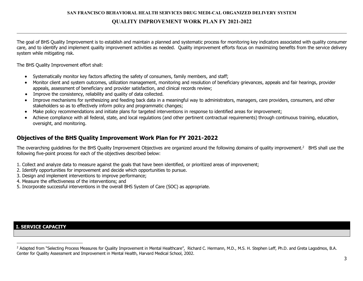$\_$  , and the set of the set of the set of the set of the set of the set of the set of the set of the set of the set of the set of the set of the set of the set of the set of the set of the set of the set of the set of th

The goal of BHS Quality Improvement is to establish and maintain a planned and systematic process for monitoring key indicators associated with quality consumer care, and to identify and implement quality improvement activities as needed. Quality improvement efforts focus on maximizing benefits from the service delivery system while mitigating risk.

The BHS Quality Improvement effort shall:

- Systematically monitor key factors affecting the safety of consumers, family members, and staff;
- Monitor client and system outcomes, utilization management, monitoring and resolution of beneficiary grievances, appeals and fair hearings, provider appeals, assessment of beneficiary and provider satisfaction, and clinical records review;
- Improve the consistency, reliability and quality of data collected.
- Improve mechanisms for synthesizing and feeding back data in a meaningful way to administrators, managers, care providers, consumers, and other stakeholders so as to effectively inform policy and programmatic changes;
- Make policy recommendations and initiate plans for targeted interventions in response to identified areas for improvement;
- Achieve compliance with all federal, state, and local regulations (and other pertinent contractual requirements) through continuous training, education, oversight, and monitoring.

#### **Objectives of the BHS Quality Improvement Work Plan for FY 2021-2022**

The overarching guidelines for the BHS Quality Improvement Objectives are organized around the following domains of quality improvement.<sup>2</sup> BHS shall use the following five-point process for each of the objectives described below:

- 1. Collect and analyze data to measure against the goals that have been identified, or prioritized areas of improvement;
- 2. Identify opportunities for improvement and decide which opportunities to pursue.
- 3. Design and implement interventions to improve performance;
- 4. Measure the effectiveness of the interventions; and
- 5. Incorporate successful interventions in the overall BHS System of Care (SOC) as appropriate.

#### **I. SERVICE CAPACITY**

<u>.</u>

<sup>&</sup>lt;sup>2</sup> Adapted from "Selecting Process Measures for Quality Improvement in Mental Healthcare", Richard C. Hermann, M.D., M.S. H. Stephen Leff, Ph.D. and Greta Lagodmos, B.A. Center for Quality Assessment and Improvement in Mental Health, Harvard Medical School, 2002.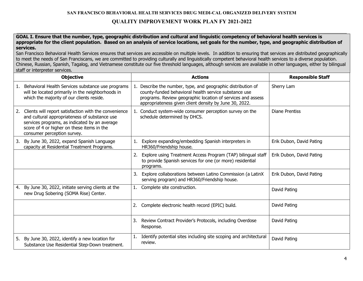$\_$  , and the set of the set of the set of the set of the set of the set of the set of the set of the set of the set of the set of the set of the set of the set of the set of the set of the set of the set of the set of th

**GOAL I. Ensure that the number, type, geographic distribution and cultural and linguistic competency of behavioral health services is appropriate for the client population. Based on an analysis of service locations, set goals for the number, type, and geographic distribution of services.**

San Francisco Behavioral Health Services ensures that services are accessible on multiple levels. In addition to ensuring that services are distributed geographically to meet the needs of San Franciscans, we are committed to providing culturally and linguistically competent behavioral health services to a diverse population. Chinese, Russian, Spanish, Tagalog, and Vietnamese constitute our five threshold languages, although services are available in other languages, either by bilingual staff or interpreter services.

|    | <b>Objective</b>                                                                                                                                                                                                                     |    | <b>Actions</b>                                                                                                                                                                                                                                 | <b>Responsible Staff</b> |
|----|--------------------------------------------------------------------------------------------------------------------------------------------------------------------------------------------------------------------------------------|----|------------------------------------------------------------------------------------------------------------------------------------------------------------------------------------------------------------------------------------------------|--------------------------|
|    | 1. Behavioral Health Services substance use programs<br>will be located primarily in the neighborhoods in<br>which the majority of our clients reside.                                                                               |    | 1. Describe the number, type, and geographic distribution of<br>county-funded behavioral health service substance use<br>programs. Review geographic location of services and assess<br>appropriateness given client density by June 30, 2022. | Sherry Lam               |
| 2. | Clients will report satisfaction with the convenience<br>and cultural appropriateness of substance use<br>services programs, as indicated by an average<br>score of 4 or higher on these items in the<br>consumer perception survey. |    | 1. Conduct system-wide consumer perception survey on the<br>schedule determined by DHCS.                                                                                                                                                       | Diane Prentiss           |
| 3. | By June 30, 2022, expand Spanish Language<br>capacity at Residential Treatment Programs.                                                                                                                                             | 1. | Explore expanding/embedding Spanish interpreters in<br>HR360/Friendship house.                                                                                                                                                                 | Erik Dubon, David Pating |
|    |                                                                                                                                                                                                                                      | 2. | Explore using Treatment Access Program (TAP) bilingual staff<br>to provide Spanish services for one (or more) residential<br>programs.                                                                                                         | Erik Dubon, David Pating |
|    |                                                                                                                                                                                                                                      | 3. | Explore collaborations between Latino Commission (a LatinX<br>serving program) and HR360/Friendship house.                                                                                                                                     | Erik Dubon, David Pating |
|    | 4. By June 30, 2022, initiate serving clients at the<br>new Drug Sobering (SOMA Rise) Center.                                                                                                                                        |    | Complete site construction.                                                                                                                                                                                                                    | David Pating             |
|    |                                                                                                                                                                                                                                      |    | Complete electronic health record (EPIC) build.                                                                                                                                                                                                | David Pating             |
|    |                                                                                                                                                                                                                                      | 3. | Review Contract Provider's Protocols, including Overdose<br>Response.                                                                                                                                                                          | David Pating             |
| 5. | By June 30, 2022, identify a new location for<br>Substance Use Residential Step-Down treatment.                                                                                                                                      |    | Identify potential sites including site scoping and architectural<br>review.                                                                                                                                                                   | David Pating             |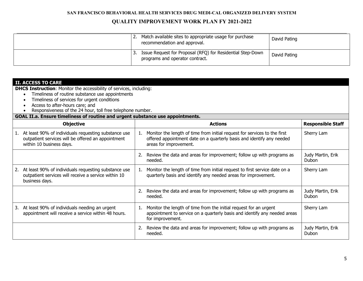| Match available sites to appropriate usage for purchase<br>recommendation and approval.       | David Pating |
|-----------------------------------------------------------------------------------------------|--------------|
| Issue Request for Proposal (RFQ) for Residential Step-Down<br>programs and operator contract. | David Pating |

| <b>II. ACCESS TO CARE</b><br><b>DHCS Instruction:</b> Monitor the accessibility of services, including:<br>Timeliness of routine substance use appointments<br>Timeliness of services for urgent conditions<br>Access to after-hours care; and |                                                                                                                                                                                    |                            |  |  |  |
|------------------------------------------------------------------------------------------------------------------------------------------------------------------------------------------------------------------------------------------------|------------------------------------------------------------------------------------------------------------------------------------------------------------------------------------|----------------------------|--|--|--|
| Responsiveness of the 24 hour, toll free telephone number.<br>GOAL II.a. Ensure timeliness of routine and urgent substance use appointments.                                                                                                   |                                                                                                                                                                                    |                            |  |  |  |
| <b>Objective</b>                                                                                                                                                                                                                               | <b>Actions</b>                                                                                                                                                                     | <b>Responsible Staff</b>   |  |  |  |
| At least 90% of individuals requesting substance use<br>1.<br>outpatient services will be offered an appointment<br>within 10 business days.                                                                                                   | Monitor the length of time from initial request for services to the first<br>1.<br>offered appointment date on a quarterly basis and identify any needed<br>areas for improvement. | Sherry Lam                 |  |  |  |
|                                                                                                                                                                                                                                                | Review the data and areas for improvement; follow up with programs as<br>needed.                                                                                                   | Judy Martin, Erik<br>Dubon |  |  |  |
| At least 90% of individuals requesting substance use<br>2.<br>outpatient services will receive a service within 10<br>business days.                                                                                                           | Monitor the length of time from initial request to first service date on a<br>1.<br>quarterly basis and identify any needed areas for improvement.                                 | Sherry Lam                 |  |  |  |
|                                                                                                                                                                                                                                                | Review the data and areas for improvement; follow up with programs as<br>Judy Martin, Erik<br>2.<br>needed.<br>Dubon                                                               |                            |  |  |  |
| At least 90% of individuals needing an urgent<br>3.<br>appointment will receive a service within 48 hours.                                                                                                                                     | Monitor the length of time from the initial request for an urgent<br>1.<br>appointment to service on a quarterly basis and identify any needed areas<br>for improvement.           | Sherry Lam                 |  |  |  |
|                                                                                                                                                                                                                                                | Review the data and areas for improvement; follow up with programs as<br>2.<br>needed.                                                                                             | Judy Martin, Erik<br>Dubon |  |  |  |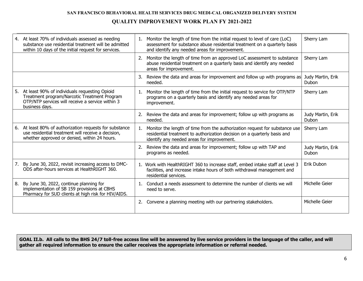|    | 4. At least 70% of individuals assessed as needing<br>substance use residential treatment will be admitted<br>within 10 days of the initial request for services.   |    | Monitor the length of time from the initial request to level of care (LoC)<br>assessment for substance abuse residential treatment on a quarterly basis<br>and identify any needed areas for improvement. | Sherry Lam                 |
|----|---------------------------------------------------------------------------------------------------------------------------------------------------------------------|----|-----------------------------------------------------------------------------------------------------------------------------------------------------------------------------------------------------------|----------------------------|
|    |                                                                                                                                                                     |    | Monitor the length of time from an approved LoC assessment to substance<br>abuse residential treatment on a quarterly basis and identify any needed<br>areas for improvement.                             | Sherry Lam                 |
|    |                                                                                                                                                                     | 3. | Review the data and areas for improvement and follow up with programs as<br>needed.                                                                                                                       | Judy Martin, Erik<br>Dubon |
| 5. | At least 90% of individuals requesting Opioid<br>Treatment program/Narcotic Treatment Program<br>OTP/NTP services will receive a service within 3<br>business days. | 1. | Monitor the length of time from the initial request to service for OTP/NTP<br>programs on a quarterly basis and identify any needed areas for<br>improvement.                                             | Sherry Lam                 |
|    |                                                                                                                                                                     |    | 2. Review the data and areas for improvement; follow up with programs as<br>needed.                                                                                                                       | Judy Martin, Erik<br>Dubon |
|    | 6. At least 80% of authorization requests for substance<br>use residential treatment will receive a decision,<br>whether approved or denied, within 24 hours.       | 1. | Monitor the length of time from the authorization request for substance use<br>residential treatment to authorization decision on a quarterly basis and<br>identify any needed areas for improvement.     | Sherry Lam                 |
|    |                                                                                                                                                                     |    | Review the data and areas for improvement; follow up with TAP and<br>programs as needed.                                                                                                                  | Judy Martin, Erik<br>Dubon |
|    | 7. By June 30, 2022, revisit increasing access to DMC-<br>ODS after-hours services at HealthRIGHT 360.                                                              |    | 1. Work with HealthRIGHT 360 to increase staff, embed intake staff at Level 3<br>facilities, and increase intake hours of both withdrawal management and<br>residential services.                         | Erik Dubon                 |
| 8. | By June 30, 2022, continue planning for<br>implementation of SB 159 provisions at CBHS<br>Pharmacy for SUD clients at high risk for HIV/AIDS.                       | 1. | Conduct a needs assessment to determine the number of clients we will<br>need to serve.                                                                                                                   | Michelle Geier             |
|    |                                                                                                                                                                     | 2. | Convene a planning meeting with our partnering stakeholders.                                                                                                                                              | Michelle Geier             |

**GOAL II.b. All calls to the BHS 24/7 toll-free access line will be answered by live service providers in the language of the caller, and will gather all required information to ensure the caller receives the appropriate information or referral needed.**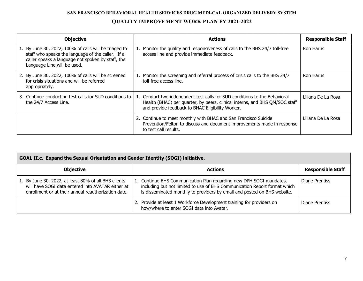| <b>Objective</b>                                                                                                                                                                               | <b>Actions</b>                                                                                                                                                                                                | <b>Responsible Staff</b> |
|------------------------------------------------------------------------------------------------------------------------------------------------------------------------------------------------|---------------------------------------------------------------------------------------------------------------------------------------------------------------------------------------------------------------|--------------------------|
| 1. By June 30, 2022, 100% of calls will be triaged to<br>staff who speaks the language of the caller. If a<br>caller speaks a language not spoken by staff, the<br>Language Line will be used. | 1. Monitor the quality and responsiveness of calls to the BHS 24/7 toll-free<br>access line and provide immediate feedback.                                                                                   | <b>Ron Harris</b>        |
| 2. By June 30, 2022, 100% of calls will be screened<br>for crisis situations and will be referred<br>appropriately.                                                                            | 1. Monitor the screening and referral process of crisis calls to the BHS 24/7<br>toll-free access line.                                                                                                       | <b>Ron Harris</b>        |
| 3. Continue conducting test calls for SUD conditions to<br>the 24/7 Access Line.                                                                                                               | 1. Conduct two independent test calls for SUD conditions to the Behavioral<br>Health (BHAC) per quarter, by peers, clinical interns, and BHS QM/SOC staff<br>and provide feedback to BHAC Eligibility Worker. | Liliana De La Rosa       |
|                                                                                                                                                                                                | 2. Continue to meet monthly with BHAC and San Francisco Suicide<br>Prevention/Felton to discuss and document improvements made in response<br>to test call results.                                           | Liliana De La Rosa       |

| GOAL II.c. Expand the Sexual Orientation and Gender Identity (SOGI) initiative.                                                                                  |                                                                                                                                                                                                                              |                |  |  |
|------------------------------------------------------------------------------------------------------------------------------------------------------------------|------------------------------------------------------------------------------------------------------------------------------------------------------------------------------------------------------------------------------|----------------|--|--|
| <b>Objective</b><br><b>Responsible Staff</b><br><b>Actions</b>                                                                                                   |                                                                                                                                                                                                                              |                |  |  |
| 1. By June 30, 2022, at least 80% of all BHS clients<br>will have SOGI data entered into AVATAR either at<br>enrollment or at their annual reauthorization date. | 1. Continue BHS Communication Plan regarding new DPH SOGI mandates,<br>including but not limited to use of BHS Communication Report format which<br>is disseminated monthly to providers by email and posted on BHS website. | Diane Prentiss |  |  |
|                                                                                                                                                                  | 2. Provide at least 1 Workforce Development training for providers on<br>how/where to enter SOGI data into Avatar.                                                                                                           | Diane Prentiss |  |  |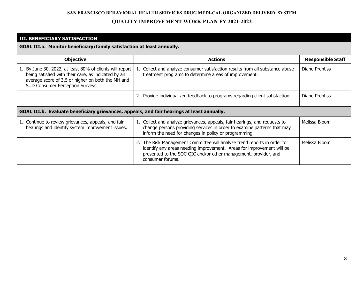$\mathcal{L}_\mathcal{L} = \mathcal{L}_\mathcal{L} = \mathcal{L}_\mathcal{L} = \mathcal{L}_\mathcal{L} = \mathcal{L}_\mathcal{L} = \mathcal{L}_\mathcal{L} = \mathcal{L}_\mathcal{L} = \mathcal{L}_\mathcal{L} = \mathcal{L}_\mathcal{L} = \mathcal{L}_\mathcal{L} = \mathcal{L}_\mathcal{L} = \mathcal{L}_\mathcal{L} = \mathcal{L}_\mathcal{L} = \mathcal{L}_\mathcal{L} = \mathcal{L}_\mathcal{L} = \mathcal{L}_\mathcal{L} = \mathcal{L}_\mathcal{L}$ 

#### **III. BENEFICIARY SATISFACTION**

**GOAL III.a. Monitor beneficiary/family satisfaction at least annually.**

| <b>Objective</b>                                                                                                                                                                                         | <b>Actions</b>                                                                                                                                                                                                                          | <b>Responsible Staff</b> |  |  |
|----------------------------------------------------------------------------------------------------------------------------------------------------------------------------------------------------------|-----------------------------------------------------------------------------------------------------------------------------------------------------------------------------------------------------------------------------------------|--------------------------|--|--|
| 1. By June 30, 2022, at least 80% of clients will report<br>being satisfied with their care, as indicated by an<br>average score of 3.5 or higher on both the MH and<br>SUD Consumer Perception Surveys. | 1. Collect and analyze consumer satisfaction results from all substance abuse<br>treatment programs to determine areas of improvement.                                                                                                  | Diane Prentiss           |  |  |
|                                                                                                                                                                                                          | 2. Provide individualized feedback to programs regarding client satisfaction.                                                                                                                                                           | Diane Prentiss           |  |  |
| GOAL III.b. Evaluate beneficiary grievances, appeals, and fair hearings at least annually.                                                                                                               |                                                                                                                                                                                                                                         |                          |  |  |
| 1. Continue to review grievances, appeals, and fair<br>hearings and identify system improvement issues.                                                                                                  | 1. Collect and analyze grievances, appeals, fair hearings, and requests to<br>change persons providing services in order to examine patterns that may<br>inform the need for changes in policy or programming.                          | Melissa Bloom            |  |  |
|                                                                                                                                                                                                          | 2. The Risk Management Committee will analyze trend reports in order to<br>identify any areas needing improvement. Areas for improvement will be<br>presented to the SOC-QIC and/or other management, provider, and<br>consumer forums. | Melissa Bloom            |  |  |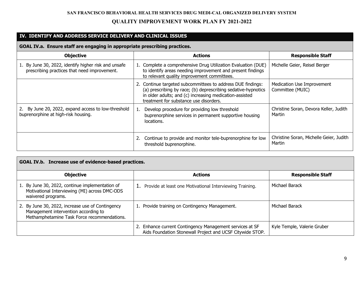#### $\_$ **IV. IDENTIFY AND ADDRESS SERVICE DELIVERY AND CLINICAL ISSUES**

#### **GOAL IV.a. Ensure staff are engaging in appropriate prescribing practices.**

| <b>Objective</b>                                                                                     | <b>Actions</b>                                                                                                                                                                                                                    | <b>Responsible Staff</b>                          |  |
|------------------------------------------------------------------------------------------------------|-----------------------------------------------------------------------------------------------------------------------------------------------------------------------------------------------------------------------------------|---------------------------------------------------|--|
| 1. By June 30, 2022, identify higher risk and unsafe<br>prescribing practices that need improvement. | 1. Complete a comprehensive Drug Utilization Evaluation (DUE)<br>to identify areas needing improvement and present findings<br>to relevant quality improvement committees.                                                        | Michelle Geier, Reisel Berger                     |  |
|                                                                                                      | 2. Continue targeted subcommittees to address DUE findings:<br>(a) prescribing by race; (b) deprescribing sedative-hypnotics<br>in older adults; and (c) increasing medication-assisted<br>treatment for substance use disorders. | Medication Use Improvement<br>Committee (MUIC)    |  |
| 2. By June 20, 2022, expand access to low-threshold<br>buprenorphine at high-risk housing.           | Develop procedure for providing low threshold<br>buprenorphine services in permanent supportive housing<br>locations.                                                                                                             | Christine Soran, Devora Keller, Judith<br>Martin  |  |
|                                                                                                      | Continue to provide and monitor tele-buprenorphine for low<br>threshold buprenorphine.                                                                                                                                            | Christine Soran, Michelle Geier, Judith<br>Martin |  |

| GOAL IV.b. Increase use of evidence-based practices.                                                                                    |  |                                                                                                                       |                             |  |
|-----------------------------------------------------------------------------------------------------------------------------------------|--|-----------------------------------------------------------------------------------------------------------------------|-----------------------------|--|
| <b>Objective</b><br><b>Actions</b><br><b>Responsible Staff</b>                                                                          |  |                                                                                                                       |                             |  |
| 1. By June 30, 2022, continue implementation of<br>Motivational Interviewing (MI) across DMC-ODS<br>waivered programs.                  |  | 1. Provide at least one Motivational Interviewing Training.                                                           | Michael Barack              |  |
| 2. By June 30, 2022, increase use of Contingency<br>Management intervention according to<br>Methamphetamine Task Force recommendations. |  | 1. Provide training on Contingency Management.                                                                        | Michael Barack              |  |
|                                                                                                                                         |  | 2. Enhance current Contingency Management services at SF<br>Aids Foundation Stonewall Project and UCSF Citywide STOP. | Kyle Temple, Valerie Gruber |  |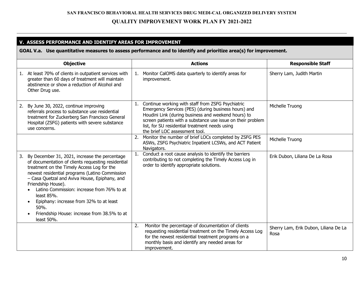$\_$  , and the set of the set of the set of the set of the set of the set of the set of the set of the set of the set of the set of the set of the set of the set of the set of the set of the set of the set of the set of th

#### **V. ASSESS PERFORMANCE AND IDENTIFY AREAS FOR IMPROVEMENT GOAL V.a. Use quantitative measures to assess performance and to identify and prioritize area(s) for improvement. Objective Actions Actions Actions Responsible Staff** 1. At least 70% of clients in outpatient services with greater than 60 days of treatment will maintain abstinence or show a reduction of Alcohol and Other Drug use. 1. Monitor CalOMS data quarterly to identify areas for improvement. Sherry Lam, Judith Martin 2. By June 30, 2022, continue improving referrals process to substance use residential treatment for Zuckerberg San Francisco General Hospital (ZSFG) patients with severe substance use concerns. 1. Continue working with staff from ZSFG Psychiatric Emergency Services (PES) (during business hours) and Houdini Link (during business and weekend hours) to screen patients with a substance use issue on their problem list, for SU residential treatment needs using the brief LOC assessment tool. Michelle Truong 2. Monitor the number of brief LOCs completed by ZSFG PES ASWs, ZSFG Psychiatric Inpatient LCSWs, and ACT Patient Navigators. Michelle Truong 3. By December 31, 2021, increase the percentage of documentation of clients requesting residential treatment on the Timely Access Log for the newest residential programs (Latino Commission – Casa Quetzal and Aviva House, Epiphany, and Friendship House). • Latino Commission: increase from 76% to at least 85%. • Epiphany: increase from 32% to at least 50%. • Friendship House: increase from 38.5% to at least 50%. 1. Conduct a root cause analysis to identify the barriers contributing to not completing the Timely Access Log in order to identify appropriate solutions. Erik Dubon, Liliana De La Rosa 2. Monitor the percentage of documentation of clients requesting residential treatment on the Timely Access Log for the newest residential treatment programs on a monthly basis and identify any needed areas for improvement. Sherry Lam, Erik Dubon, Liliana De La Rosa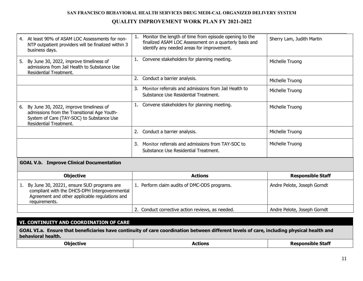| 4. At least 90% of ASAM LOC Assessments for non-<br>NTP outpatient providers will be finalized within 3<br>business days.                                                  | Monitor the length of time from episode opening to the<br>finalized ASAM LOC Assessment on a quarterly basis and<br>identify any needed areas for improvement. | Sherry Lam, Judith Martin   |
|----------------------------------------------------------------------------------------------------------------------------------------------------------------------------|----------------------------------------------------------------------------------------------------------------------------------------------------------------|-----------------------------|
| By June 30, 2022, improve timeliness of<br>5.<br>admissions from Jail Health to Substance Use<br>Residential Treatment.                                                    | 1. Convene stakeholders for planning meeting.                                                                                                                  | Michelle Truong             |
|                                                                                                                                                                            | Conduct a barrier analysis.<br>2.                                                                                                                              | Michelle Truong             |
|                                                                                                                                                                            | Monitor referrals and admissions from Jail Health to<br>3.<br>Substance Use Residential Treatment.                                                             | Michelle Truong             |
| By June 30, 2022, improve timeliness of<br>6.<br>admissions from the Transitional Age Youth-<br>System of Care (TAY-SOC) to Substance Use<br><b>Residential Treatment.</b> | 1. Convene stakeholders for planning meeting.                                                                                                                  | Michelle Truong             |
|                                                                                                                                                                            | Conduct a barrier analysis.<br>2.                                                                                                                              | Michelle Truong             |
|                                                                                                                                                                            | Monitor referrals and admissions from TAY-SOC to<br>3.<br>Substance Use Residential Treatment.                                                                 | Michelle Truong             |
| <b>GOAL V.b. Improve Clinical Documentation</b>                                                                                                                            |                                                                                                                                                                |                             |
| <b>Objective</b>                                                                                                                                                           | <b>Actions</b>                                                                                                                                                 | <b>Responsible Staff</b>    |
| By June 30, 20221, ensure SUD programs are<br>1.<br>compliant with the DHCS-DPH Intergovernmental<br>Agreement and other applicable regulations and<br>requirements.       | 1. Perform claim audits of DMC-ODS programs.                                                                                                                   | Andre Pelote, Joseph Gorndt |
|                                                                                                                                                                            | 2. Conduct corrective action reviews, as needed.                                                                                                               | Andre Pelote, Joseph Gorndt |

## **VI. CONTINUITY AND COORDINATION OF CARE GOAL VI.a. Ensure that beneficiaries have continuity of care coordination between different levels of care, including physical health and behavioral health.**

| <b>Objective</b> | Actions | <b>Responsible Staff</b> |
|------------------|---------|--------------------------|
|------------------|---------|--------------------------|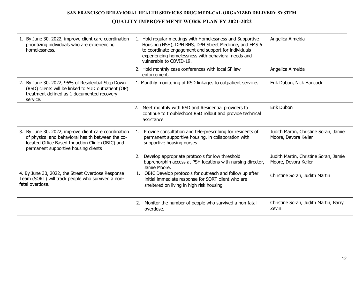| 1. By June 30, 2022, improve client care coordination<br>prioritizing individuals who are experiencing<br>homelessness.                                                                                | 1. Hold regular meetings with Homelessness and Supportive<br>Housing (HSH), DPH BHS, DPH Street Medicine, and EMS 6<br>to coordinate engagement and support for individuals<br>experiencing homelessness with behavioral needs and<br>vulnerable to COVID-19. | Angelica Almeida                                              |
|--------------------------------------------------------------------------------------------------------------------------------------------------------------------------------------------------------|---------------------------------------------------------------------------------------------------------------------------------------------------------------------------------------------------------------------------------------------------------------|---------------------------------------------------------------|
|                                                                                                                                                                                                        | 2. Hold monthly case conferences with local SF law<br>enforcement.                                                                                                                                                                                            | Angelica Almeida                                              |
| 2. By June 30, 2022, 95% of Residential Step Down<br>(RSD) clients will be linked to SUD outpatient (OP)<br>treatment defined as 1 documented recovery<br>service.                                     | 1. Monthly monitoring of RSD linkages to outpatient services.                                                                                                                                                                                                 | Erik Dubon, Nick Hancock                                      |
|                                                                                                                                                                                                        | 2. Meet monthly with RSD and Residential providers to<br>continue to troubleshoot RSD rollout and provide technical<br>assistance.                                                                                                                            | Erik Dubon                                                    |
| 3. By June 30, 2022, improve client care coordination<br>of physical and behavioral health between the co-<br>located Office Based Induction Clinic (OBIC) and<br>permanent supportive housing clients | Provide consultation and tele-prescribing for residents of<br>permanent supportive housing, in collaboration with<br>supportive housing nurses                                                                                                                | Judith Martin, Christine Soran, Jamie<br>Moore, Devora Keller |
|                                                                                                                                                                                                        | Develop appropriate protocols for low threshold<br>2.<br>buprenorphin access at PSH locations with nursing director,<br>Jamie Moore.                                                                                                                          | Judith Martin, Christine Soran, Jamie<br>Moore, Devora Keller |
| 4. By June 30, 2022, the Street Overdose Response<br>Team (SORT) will track people who survived a non-<br>fatal overdose.                                                                              | 1. OBIC Develop protocols for outreach and follow up after<br>initial immediate response for SORT client who are<br>sheltered on living in high risk housing.                                                                                                 | Christine Soran, Judith Martin                                |
|                                                                                                                                                                                                        | Monitor the number of people who survived a non-fatal<br>2.<br>overdose.                                                                                                                                                                                      | Christine Soran, Judith Martin, Barry<br>Zevin                |